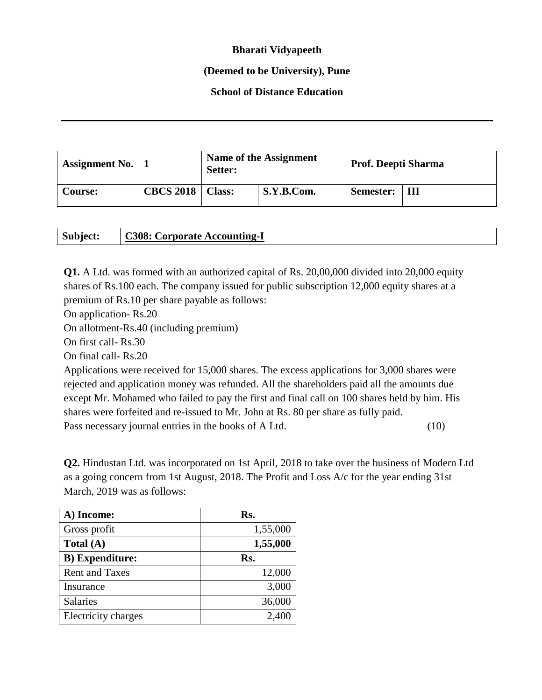## **Bharati Vidyapeeth**

## **(Deemed to be University), Pune**

## **School of Distance Education**

| <b>Assignment No.</b> |                  | Name of the Assignment<br>Setter: |            | Prof. Deepti Sharma |   |
|-----------------------|------------------|-----------------------------------|------------|---------------------|---|
| Course:               | <b>CBCS 2018</b> | <b>Class:</b>                     | S.Y.B.Com. | Semester:           | Ш |

| Subject: | <b>C308: Corporate Accounting-I</b> |
|----------|-------------------------------------|
|----------|-------------------------------------|

**Q1.** A Ltd. was formed with an authorized capital of Rs. 20,00,000 divided into 20,000 equity shares of Rs.100 each. The company issued for public subscription 12,000 equity shares at a premium of Rs.10 per share payable as follows:

On application- Rs.20

On allotment-Rs.40 (including premium)

On first call- Rs.30

On final call- Rs.20

Applications were received for 15,000 shares. The excess applications for 3,000 shares were rejected and application money was refunded. All the shareholders paid all the amounts due except Mr. Mohamed who failed to pay the first and final call on 100 shares held by him. His shares were forfeited and re-issued to Mr. John at Rs. 80 per share as fully paid. Pass necessary journal entries in the books of A Ltd. (10)

**Q2.** Hindustan Ltd. was incorporated on 1st April, 2018 to take over the business of Modern Ltd as a going concern from 1st August, 2018. The Profit and Loss A/c for the year ending 31st March, 2019 was as follows:

| A) Income:              | Rs.      |
|-------------------------|----------|
| Gross profit            | 1,55,000 |
| Total $(A)$             | 1,55,000 |
| <b>B</b> ) Expenditure: | Rs.      |
| <b>Rent and Taxes</b>   | 12,000   |
| Insurance               | 3,000    |
| <b>Salaries</b>         | 36,000   |
| Electricity charges     | 2,40     |